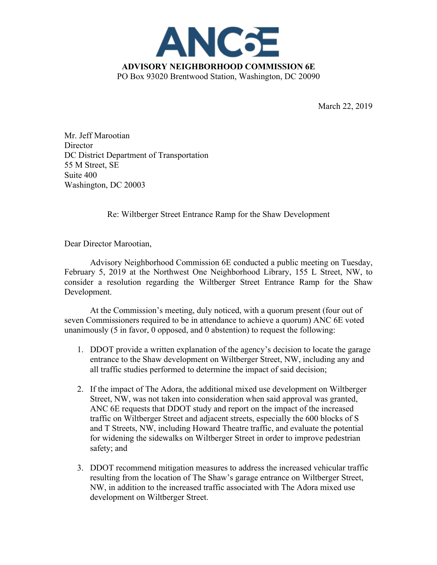

March 22, 2019

Mr. Jeff Marootian **Director** DC District Department of Transportation 55 M Street, SE Suite 400 Washington, DC 20003

Re: Wiltberger Street Entrance Ramp for the Shaw Development

Dear Director Marootian,

Advisory Neighborhood Commission 6E conducted a public meeting on Tuesday, February 5, 2019 at the Northwest One Neighborhood Library, 155 L Street, NW, to consider a resolution regarding the Wiltberger Street Entrance Ramp for the Shaw Development.

At the Commission's meeting, duly noticed, with a quorum present (four out of seven Commissioners required to be in attendance to achieve a quorum) ANC 6E voted unanimously (5 in favor, 0 opposed, and 0 abstention) to request the following:

- 1. DDOT provide a written explanation of the agency's decision to locate the garage entrance to the Shaw development on Wiltberger Street, NW, including any and all traffic studies performed to determine the impact of said decision;
- 2. If the impact of The Adora, the additional mixed use development on Wiltberger Street, NW, was not taken into consideration when said approval was granted, ANC 6E requests that DDOT study and report on the impact of the increased traffic on Wiltberger Street and adjacent streets, especially the 600 blocks of S and T Streets, NW, including Howard Theatre traffic, and evaluate the potential for widening the sidewalks on Wiltberger Street in order to improve pedestrian safety; and
- 3. DDOT recommend mitigation measures to address the increased vehicular traffic resulting from the location of The Shaw's garage entrance on Wiltberger Street, NW, in addition to the increased traffic associated with The Adora mixed use development on Wiltberger Street.